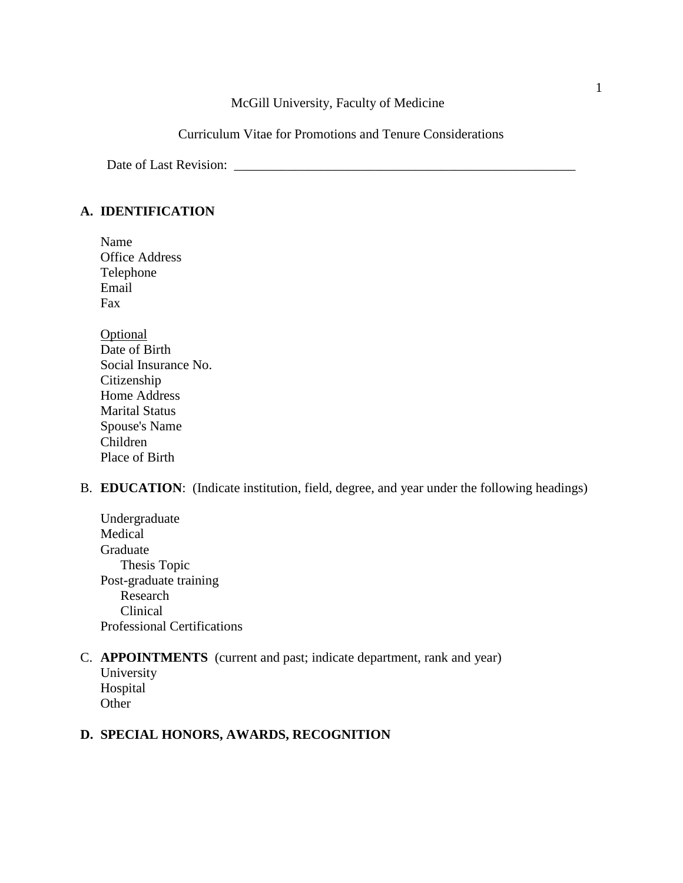### McGill University, Faculty of Medicine

Curriculum Vitae for Promotions and Tenure Considerations

Date of Last Revision: \_\_\_\_\_\_\_\_\_\_\_\_\_\_\_\_\_\_\_\_\_\_\_\_\_\_\_\_\_\_\_\_\_\_\_\_\_\_\_\_\_\_\_\_\_\_\_\_\_\_\_

### **A. IDENTIFICATION**

- Name Office Address Telephone Email Fax
- **Optional** Date of Birth Social Insurance No. Citizenship Home Address Marital Status Spouse's Name Children Place of Birth
- B. **EDUCATION**: (Indicate institution, field, degree, and year under the following headings)
	- Undergraduate Medical Graduate Thesis Topic Post-graduate training Research Clinical Professional Certifications

# C. **APPOINTMENTS** (current and past; indicate department, rank and year)

University Hospital **Other** 

## **D. SPECIAL HONORS, AWARDS, RECOGNITION**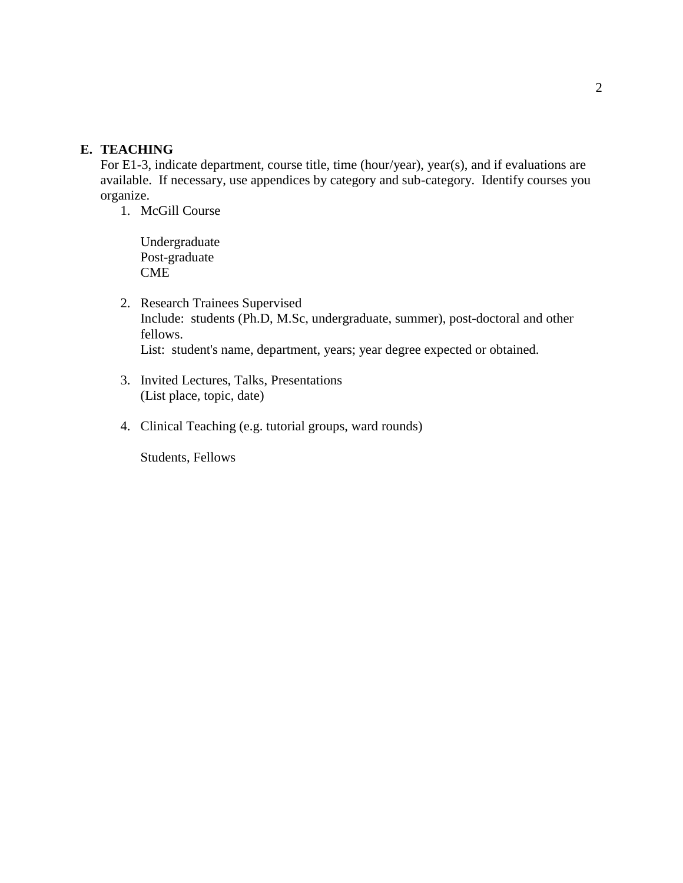### **E. TEACHING**

For E1-3, indicate department, course title, time (hour/year), year(s), and if evaluations are available. If necessary, use appendices by category and sub-category. Identify courses you organize.

1. McGill Course

Undergraduate Post-graduate **CME** 

- 2. Research Trainees Supervised Include: students (Ph.D, M.Sc, undergraduate, summer), post-doctoral and other fellows. List: student's name, department, years; year degree expected or obtained.
- 3. Invited Lectures, Talks, Presentations (List place, topic, date)
- 4. Clinical Teaching (e.g. tutorial groups, ward rounds)

Students, Fellows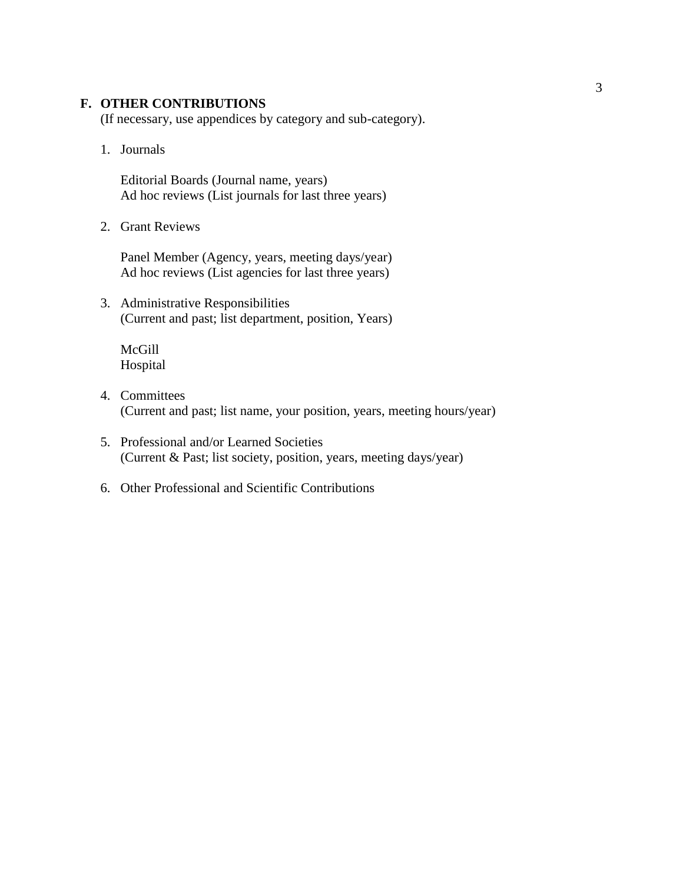### **F. OTHER CONTRIBUTIONS**

(If necessary, use appendices by category and sub-category).

1. Journals

Editorial Boards (Journal name, years) Ad hoc reviews (List journals for last three years)

2. Grant Reviews

Panel Member (Agency, years, meeting days/year) Ad hoc reviews (List agencies for last three years)

3. Administrative Responsibilities (Current and past; list department, position, Years)

McGill Hospital

- 4. Committees (Current and past; list name, your position, years, meeting hours/year)
- 5. Professional and/or Learned Societies (Current & Past; list society, position, years, meeting days/year)
- 6. Other Professional and Scientific Contributions